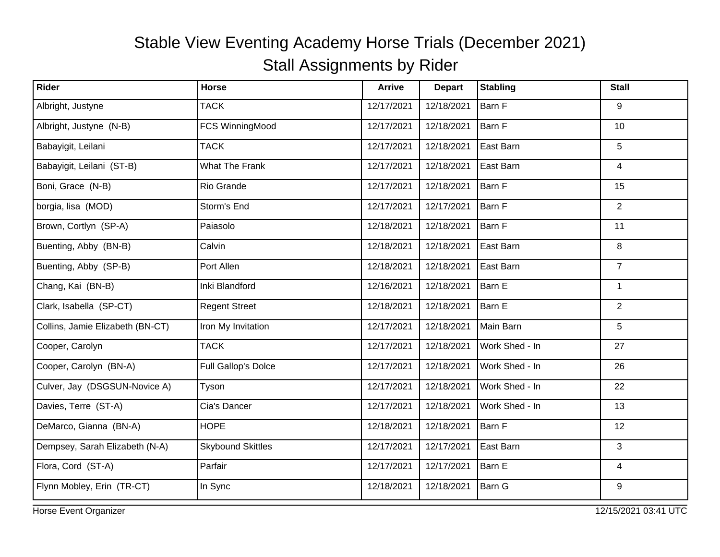| Rider                            | <b>Horse</b>             | <b>Arrive</b> | <b>Depart</b> | <b>Stabling</b> | <b>Stall</b>   |
|----------------------------------|--------------------------|---------------|---------------|-----------------|----------------|
| Albright, Justyne                | <b>TACK</b>              | 12/17/2021    | 12/18/2021    | Barn F          | 9              |
| Albright, Justyne (N-B)          | FCS WinningMood          | 12/17/2021    | 12/18/2021    | Barn F          | 10             |
| Babayigit, Leilani               | <b>TACK</b>              | 12/17/2021    | 12/18/2021    | East Barn       | 5              |
| Babayigit, Leilani (ST-B)        | What The Frank           | 12/17/2021    | 12/18/2021    | East Barn       | 4              |
| Boni, Grace (N-B)                | Rio Grande               | 12/17/2021    | 12/18/2021    | Barn F          | 15             |
| borgia, lisa (MOD)               | Storm's End              | 12/17/2021    | 12/17/2021    | Barn F          | $\overline{2}$ |
| Brown, Cortlyn (SP-A)            | Paiasolo                 | 12/18/2021    | 12/18/2021    | Barn F          | 11             |
| Buenting, Abby (BN-B)            | Calvin                   | 12/18/2021    | 12/18/2021    | East Barn       | 8              |
| Buenting, Abby (SP-B)            | Port Allen               | 12/18/2021    | 12/18/2021    | East Barn       | $\overline{7}$ |
| Chang, Kai (BN-B)                | Inki Blandford           | 12/16/2021    | 12/18/2021    | Barn E          | 1              |
| Clark, Isabella (SP-CT)          | <b>Regent Street</b>     | 12/18/2021    | 12/18/2021    | Barn E          | $\overline{2}$ |
| Collins, Jamie Elizabeth (BN-CT) | Iron My Invitation       | 12/17/2021    | 12/18/2021    | Main Barn       | 5              |
| Cooper, Carolyn                  | <b>TACK</b>              | 12/17/2021    | 12/18/2021    | Work Shed - In  | 27             |
| Cooper, Carolyn (BN-A)           | Full Gallop's Dolce      | 12/17/2021    | 12/18/2021    | Work Shed - In  | 26             |
| Culver, Jay (DSGSUN-Novice A)    | Tyson                    | 12/17/2021    | 12/18/2021    | Work Shed - In  | 22             |
| Davies, Terre (ST-A)             | Cia's Dancer             | 12/17/2021    | 12/18/2021    | Work Shed - In  | 13             |
| DeMarco, Gianna (BN-A)           | <b>HOPE</b>              | 12/18/2021    | 12/18/2021    | Barn F          | 12             |
| Dempsey, Sarah Elizabeth (N-A)   | <b>Skybound Skittles</b> | 12/17/2021    | 12/17/2021    | East Barn       | 3              |
| Flora, Cord (ST-A)               | Parfair                  | 12/17/2021    | 12/17/2021    | Barn E          | $\overline{4}$ |
| Flynn Mobley, Erin (TR-CT)       | In Sync                  | 12/18/2021    | 12/18/2021    | <b>Barn G</b>   | 9              |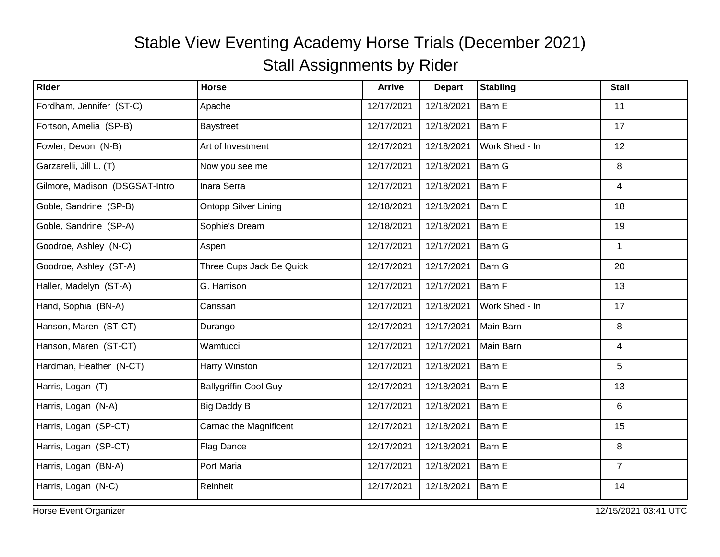| <b>Rider</b>                   | <b>Horse</b>                 | <b>Arrive</b> | <b>Depart</b> | <b>Stabling</b> | <b>Stall</b>   |
|--------------------------------|------------------------------|---------------|---------------|-----------------|----------------|
| Fordham, Jennifer (ST-C)       | Apache                       | 12/17/2021    | 12/18/2021    | Barn E          | 11             |
| Fortson, Amelia (SP-B)         | Baystreet                    | 12/17/2021    | 12/18/2021    | Barn F          | 17             |
| Fowler, Devon (N-B)            | Art of Investment            | 12/17/2021    | 12/18/2021    | Work Shed - In  | 12             |
| Garzarelli, Jill L. (T)        | Now you see me               | 12/17/2021    | 12/18/2021    | Barn G          | 8              |
| Gilmore, Madison (DSGSAT-Intro | Inara Serra                  | 12/17/2021    | 12/18/2021    | Barn F          | 4              |
| Goble, Sandrine (SP-B)         | <b>Ontopp Silver Lining</b>  | 12/18/2021    | 12/18/2021    | Barn E          | 18             |
| Goble, Sandrine (SP-A)         | Sophie's Dream               | 12/18/2021    | 12/18/2021    | Barn E          | 19             |
| Goodroe, Ashley (N-C)          | Aspen                        | 12/17/2021    | 12/17/2021    | Barn G          | $\mathbf{1}$   |
| Goodroe, Ashley (ST-A)         | Three Cups Jack Be Quick     | 12/17/2021    | 12/17/2021    | Barn G          | 20             |
| Haller, Madelyn (ST-A)         | G. Harrison                  | 12/17/2021    | 12/17/2021    | Barn F          | 13             |
| Hand, Sophia (BN-A)            | Carissan                     | 12/17/2021    | 12/18/2021    | Work Shed - In  | 17             |
| Hanson, Maren (ST-CT)          | Durango                      | 12/17/2021    | 12/17/2021    | Main Barn       | 8              |
| Hanson, Maren (ST-CT)          | Wamtucci                     | 12/17/2021    | 12/17/2021    | Main Barn       | $\overline{4}$ |
| Hardman, Heather (N-CT)        | Harry Winston                | 12/17/2021    | 12/18/2021    | Barn E          | 5              |
| Harris, Logan (T)              | <b>Ballygriffin Cool Guy</b> | 12/17/2021    | 12/18/2021    | Barn E          | 13             |
| Harris, Logan (N-A)            | <b>Big Daddy B</b>           | 12/17/2021    | 12/18/2021    | Barn E          | 6              |
| Harris, Logan (SP-CT)          | Carnac the Magnificent       | 12/17/2021    | 12/18/2021    | Barn E          | 15             |
| Harris, Logan (SP-CT)          | Flag Dance                   | 12/17/2021    | 12/18/2021    | Barn E          | 8              |
| Harris, Logan (BN-A)           | Port Maria                   | 12/17/2021    | 12/18/2021    | Barn E          | $\overline{7}$ |
| Harris, Logan (N-C)            | Reinheit                     | 12/17/2021    | 12/18/2021    | Barn E          | 14             |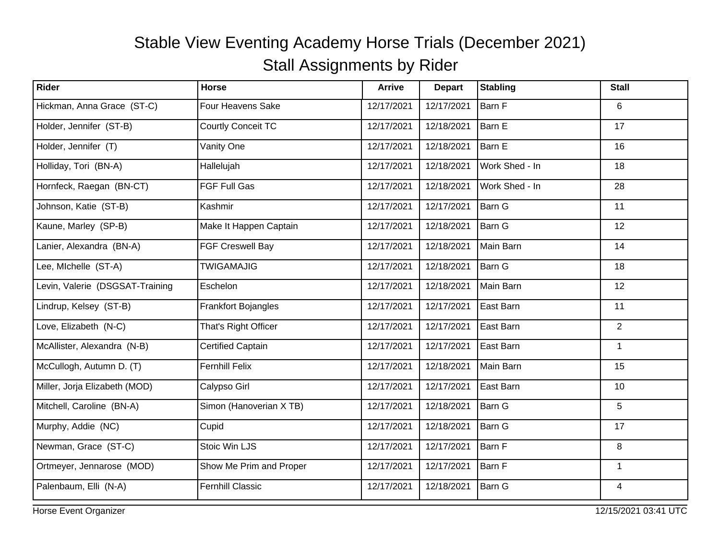| Rider                           | <b>Horse</b>              | <b>Arrive</b> | <b>Depart</b> | <b>Stabling</b> | <b>Stall</b>   |
|---------------------------------|---------------------------|---------------|---------------|-----------------|----------------|
| Hickman, Anna Grace (ST-C)      | Four Heavens Sake         | 12/17/2021    | 12/17/2021    | <b>Barn F</b>   | 6              |
| Holder, Jennifer (ST-B)         | <b>Courtly Conceit TC</b> | 12/17/2021    | 12/18/2021    | Barn E          | 17             |
| Holder, Jennifer (T)            | Vanity One                | 12/17/2021    | 12/18/2021    | Barn E          | 16             |
| Holliday, Tori (BN-A)           | Hallelujah                | 12/17/2021    | 12/18/2021    | Work Shed - In  | 18             |
| Hornfeck, Raegan (BN-CT)        | <b>FGF Full Gas</b>       | 12/17/2021    | 12/18/2021    | Work Shed - In  | 28             |
| Johnson, Katie (ST-B)           | Kashmir                   | 12/17/2021    | 12/17/2021    | <b>Barn G</b>   | 11             |
| Kaune, Marley (SP-B)            | Make It Happen Captain    | 12/17/2021    | 12/18/2021    | Barn G          | 12             |
| Lanier, Alexandra (BN-A)        | FGF Creswell Bay          | 12/17/2021    | 12/18/2021    | Main Barn       | 14             |
| Lee, Michelle (ST-A)            | <b>TWIGAMAJIG</b>         | 12/17/2021    | 12/18/2021    | Barn G          | 18             |
| Levin, Valerie (DSGSAT-Training | Eschelon                  | 12/17/2021    | 12/18/2021    | Main Barn       | 12             |
| Lindrup, Kelsey (ST-B)          | Frankfort Bojangles       | 12/17/2021    | 12/17/2021    | East Barn       | 11             |
| Love, Elizabeth (N-C)           | That's Right Officer      | 12/17/2021    | 12/17/2021    | East Barn       | $\overline{2}$ |
| McAllister, Alexandra (N-B)     | <b>Certified Captain</b>  | 12/17/2021    | 12/17/2021    | East Barn       | $\mathbf{1}$   |
| McCullogh, Autumn D. (T)        | <b>Fernhill Felix</b>     | 12/17/2021    | 12/18/2021    | Main Barn       | 15             |
| Miller, Jorja Elizabeth (MOD)   | Calypso Girl              | 12/17/2021    | 12/17/2021    | East Barn       | 10             |
| Mitchell, Caroline (BN-A)       | Simon (Hanoverian X TB)   | 12/17/2021    | 12/18/2021    | <b>Barn G</b>   | 5              |
| Murphy, Addie (NC)              | Cupid                     | 12/17/2021    | 12/18/2021    | Barn G          | 17             |
| Newman, Grace (ST-C)            | Stoic Win LJS             | 12/17/2021    | 12/17/2021    | Barn F          | 8              |
| Ortmeyer, Jennarose (MOD)       | Show Me Prim and Proper   | 12/17/2021    | 12/17/2021    | Barn F          | $\mathbf{1}$   |
| Palenbaum, Elli (N-A)           | <b>Fernhill Classic</b>   | 12/17/2021    | 12/18/2021    | <b>Barn G</b>   | $\overline{4}$ |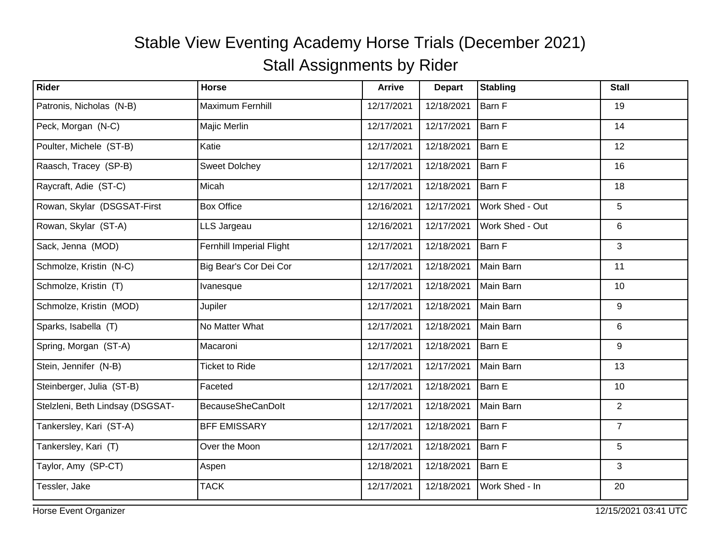| Rider                            | <b>Horse</b>             | <b>Arrive</b> | <b>Depart</b> | <b>Stabling</b> | <b>Stall</b>   |
|----------------------------------|--------------------------|---------------|---------------|-----------------|----------------|
| Patronis, Nicholas (N-B)         | Maximum Fernhill         | 12/17/2021    | 12/18/2021    | Barn F          | 19             |
| Peck, Morgan (N-C)               | Majic Merlin             | 12/17/2021    | 12/17/2021    | Barn F          | 14             |
| Poulter, Michele (ST-B)          | Katie                    | 12/17/2021    | 12/18/2021    | Barn E          | 12             |
| Raasch, Tracey (SP-B)            | <b>Sweet Dolchey</b>     | 12/17/2021    | 12/18/2021    | Barn F          | 16             |
| Raycraft, Adie (ST-C)            | Micah                    | 12/17/2021    | 12/18/2021    | Barn F          | 18             |
| Rowan, Skylar (DSGSAT-First      | <b>Box Office</b>        | 12/16/2021    | 12/17/2021    | Work Shed - Out | 5              |
| Rowan, Skylar (ST-A)             | LLS Jargeau              | 12/16/2021    | 12/17/2021    | Work Shed - Out | 6              |
| Sack, Jenna (MOD)                | Fernhill Imperial Flight | 12/17/2021    | 12/18/2021    | Barn F          | 3              |
| Schmolze, Kristin (N-C)          | Big Bear's Cor Dei Cor   | 12/17/2021    | 12/18/2021    | Main Barn       | 11             |
| Schmolze, Kristin (T)            | Ivanesque                | 12/17/2021    | 12/18/2021    | Main Barn       | 10             |
| Schmolze, Kristin (MOD)          | Jupiler                  | 12/17/2021    | 12/18/2021    | Main Barn       | 9              |
| Sparks, Isabella (T)             | No Matter What           | 12/17/2021    | 12/18/2021    | Main Barn       | 6              |
| Spring, Morgan (ST-A)            | Macaroni                 | 12/17/2021    | 12/18/2021    | Barn E          | 9              |
| Stein, Jennifer (N-B)            | <b>Ticket to Ride</b>    | 12/17/2021    | 12/17/2021    | Main Barn       | 13             |
| Steinberger, Julia (ST-B)        | Faceted                  | 12/17/2021    | 12/18/2021    | Barn E          | 10             |
| Stelzleni, Beth Lindsay (DSGSAT- | <b>BecauseSheCanDolt</b> | 12/17/2021    | 12/18/2021    | Main Barn       | $\overline{2}$ |
| Tankersley, Kari (ST-A)          | <b>BFF EMISSARY</b>      | 12/17/2021    | 12/18/2021    | Barn F          | $\overline{7}$ |
| Tankersley, Kari (T)             | Over the Moon            | 12/17/2021    | 12/18/2021    | Barn F          | 5              |
| Taylor, Amy (SP-CT)              | Aspen                    | 12/18/2021    | 12/18/2021    | Barn E          | 3              |
| Tessler, Jake                    | <b>TACK</b>              | 12/17/2021    | 12/18/2021    | Work Shed - In  | 20             |